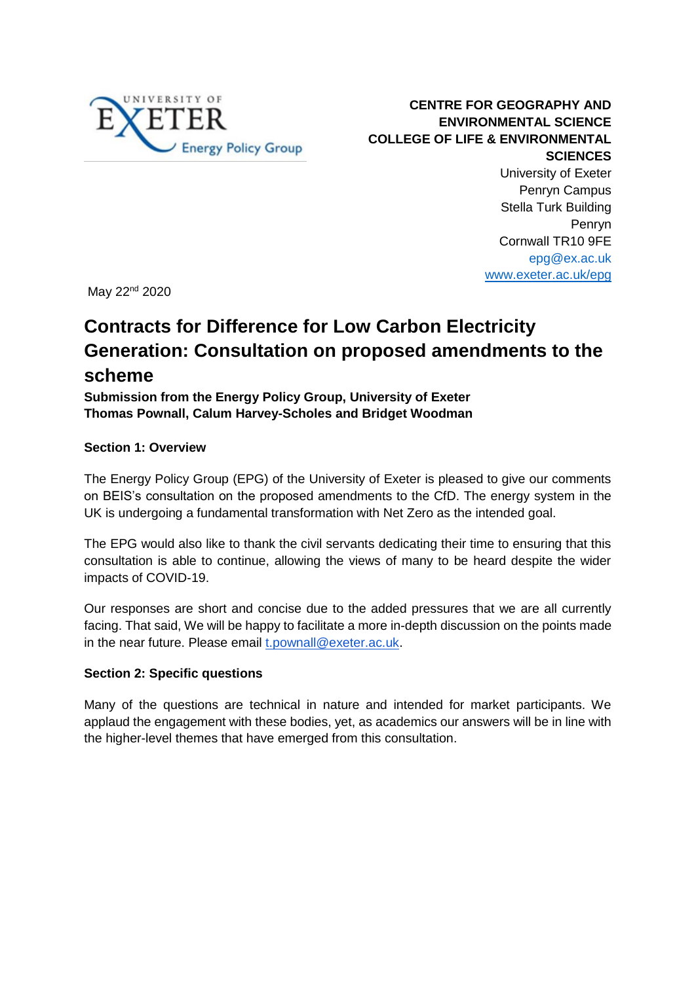

**CENTRE FOR GEOGRAPHY AND ENVIRONMENTAL SCIENCE COLLEGE OF LIFE & ENVIRONMENTAL SCIENCES** University of Exeter Penryn Campus Stella Turk Building Penryn Cornwall TR10 9FE epg@ex.ac.uk [www.exeter.ac.uk/epg](http://geography.exeter.ac.uk/research/groups/energypolicy/)

May 22<sup>nd</sup> 2020

## **Contracts for Difference for Low Carbon Electricity Generation: Consultation on proposed amendments to the scheme**

**Submission from the Energy Policy Group, University of Exeter Thomas Pownall, Calum Harvey-Scholes and Bridget Woodman**

#### **Section 1: Overview**

The Energy Policy Group (EPG) of the University of Exeter is pleased to give our comments on BEIS's consultation on the proposed amendments to the CfD. The energy system in the UK is undergoing a fundamental transformation with Net Zero as the intended goal.

The EPG would also like to thank the civil servants dedicating their time to ensuring that this consultation is able to continue, allowing the views of many to be heard despite the wider impacts of COVID-19.

Our responses are short and concise due to the added pressures that we are all currently facing. That said, We will be happy to facilitate a more in-depth discussion on the points made in the near future. Please email [t.pownall@exeter.ac.uk.](mailto:t.pownall@exeter.ac.uk)

#### **Section 2: Specific questions**

Many of the questions are technical in nature and intended for market participants. We applaud the engagement with these bodies, yet, as academics our answers will be in line with the higher-level themes that have emerged from this consultation.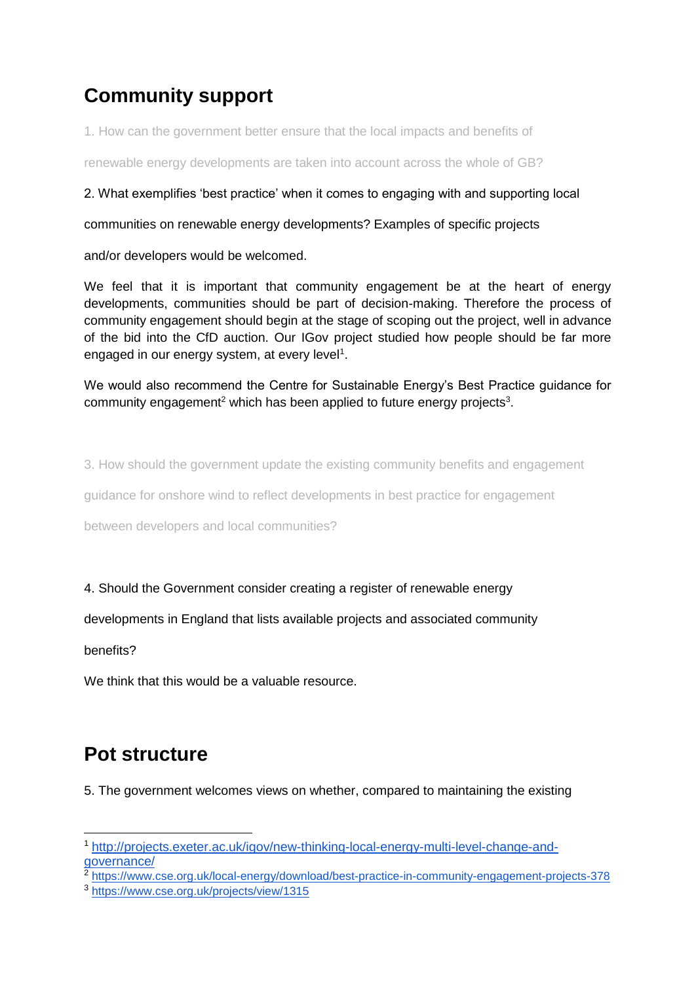# **Community support**

1. How can the government better ensure that the local impacts and benefits of

renewable energy developments are taken into account across the whole of GB?

#### 2. What exemplifies 'best practice' when it comes to engaging with and supporting local

communities on renewable energy developments? Examples of specific projects

and/or developers would be welcomed.

We feel that it is important that community engagement be at the heart of energy developments, communities should be part of decision-making. Therefore the process of community engagement should begin at the stage of scoping out the project, well in advance of the bid into the CfD auction. Our IGov project studied how people should be far more engaged in our energy system, at every level<sup>1</sup>.

We would also recommend the Centre for Sustainable Energy's Best Practice guidance for community engagement<sup>2</sup> which has been applied to future energy projects<sup>3</sup>.

3. How should the government update the existing community benefits and engagement

guidance for onshore wind to reflect developments in best practice for engagement

between developers and local communities?

#### 4. Should the Government consider creating a register of renewable energy

developments in England that lists available projects and associated community

benefits?

We think that this would be a valuable resource.

### **Pot structure**

5. The government welcomes views on whether, compared to maintaining the existing

<sup>-</sup><sup>1</sup> [http://projects.exeter.ac.uk/igov/new-thinking-local-energy-multi-level-change-and](http://projects.exeter.ac.uk/igov/new-thinking-local-energy-multi-level-change-and-governance/)[governance/](http://projects.exeter.ac.uk/igov/new-thinking-local-energy-multi-level-change-and-governance/)

<sup>&</sup>lt;sup>2</sup> <https://www.cse.org.uk/local-energy/download/best-practice-in-community-engagement-projects-378>

<sup>3</sup> <https://www.cse.org.uk/projects/view/1315>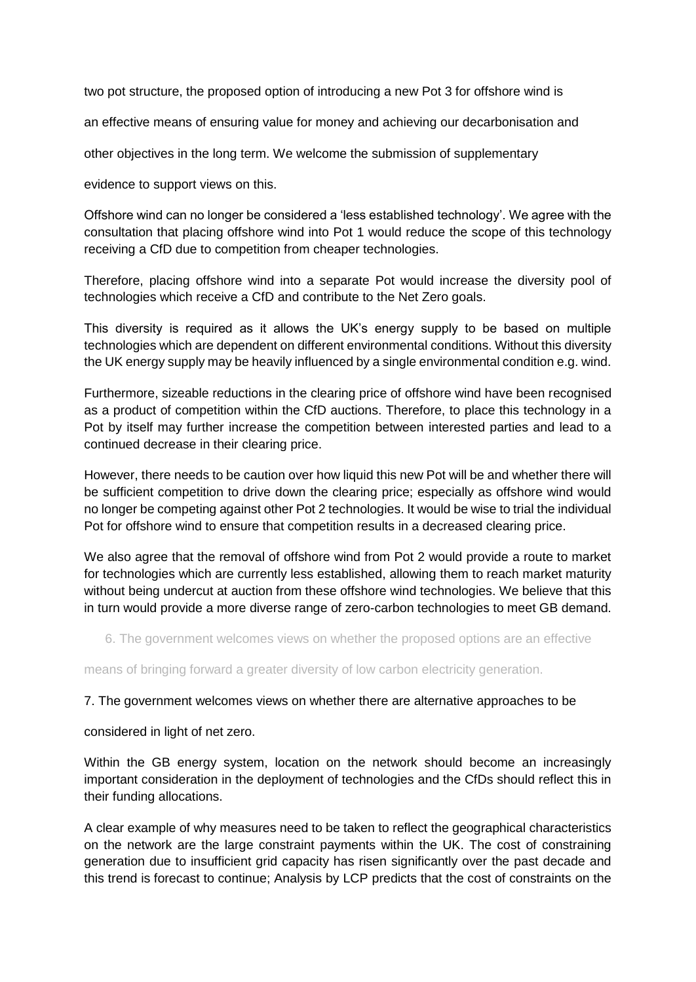two pot structure, the proposed option of introducing a new Pot 3 for offshore wind is

an effective means of ensuring value for money and achieving our decarbonisation and

other objectives in the long term. We welcome the submission of supplementary

evidence to support views on this.

Offshore wind can no longer be considered a 'less established technology'. We agree with the consultation that placing offshore wind into Pot 1 would reduce the scope of this technology receiving a CfD due to competition from cheaper technologies.

Therefore, placing offshore wind into a separate Pot would increase the diversity pool of technologies which receive a CfD and contribute to the Net Zero goals.

This diversity is required as it allows the UK's energy supply to be based on multiple technologies which are dependent on different environmental conditions. Without this diversity the UK energy supply may be heavily influenced by a single environmental condition e.g. wind.

Furthermore, sizeable reductions in the clearing price of offshore wind have been recognised as a product of competition within the CfD auctions. Therefore, to place this technology in a Pot by itself may further increase the competition between interested parties and lead to a continued decrease in their clearing price.

However, there needs to be caution over how liquid this new Pot will be and whether there will be sufficient competition to drive down the clearing price; especially as offshore wind would no longer be competing against other Pot 2 technologies. It would be wise to trial the individual Pot for offshore wind to ensure that competition results in a decreased clearing price.

We also agree that the removal of offshore wind from Pot 2 would provide a route to market for technologies which are currently less established, allowing them to reach market maturity without being undercut at auction from these offshore wind technologies. We believe that this in turn would provide a more diverse range of zero-carbon technologies to meet GB demand.

6. The government welcomes views on whether the proposed options are an effective

means of bringing forward a greater diversity of low carbon electricity generation.

#### 7. The government welcomes views on whether there are alternative approaches to be

considered in light of net zero.

Within the GB energy system, location on the network should become an increasingly important consideration in the deployment of technologies and the CfDs should reflect this in their funding allocations.

A clear example of why measures need to be taken to reflect the geographical characteristics on the network are the large constraint payments within the UK. The cost of constraining generation due to insufficient grid capacity has risen significantly over the past decade and this trend is forecast to continue; Analysis by LCP predicts that the cost of constraints on the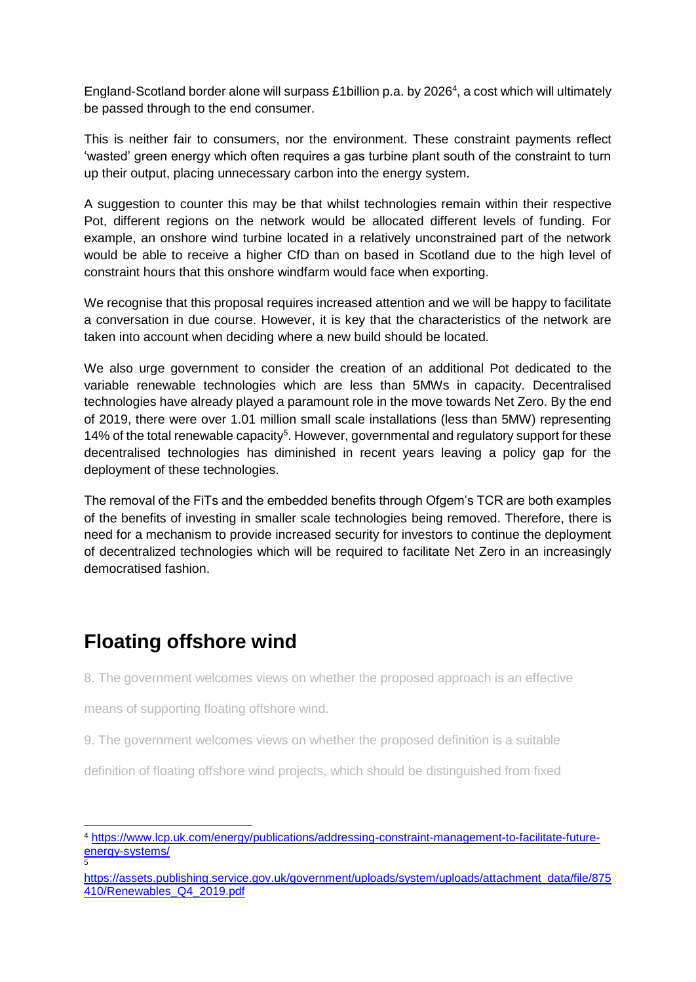England-Scotland border alone will surpass £1 billion p.a. by 2026<sup>4</sup>, a cost which will ultimately be passed through to the end consumer.

This is neither fair to consumers, nor the environment. These constraint payments reflect 'wasted' green energy which often requires a gas turbine plant south of the constraint to turn up their output, placing unnecessary carbon into the energy system.

A suggestion to counter this may be that whilst technologies remain within their respective Pot, different regions on the network would be allocated different levels of funding. For example, an onshore wind turbine located in a relatively unconstrained part of the network would be able to receive a higher CfD than on based in Scotland due to the high level of constraint hours that this onshore windfarm would face when exporting.

We recognise that this proposal requires increased attention and we will be happy to facilitate a conversation in due course. However, it is key that the characteristics of the network are taken into account when deciding where a new build should be located.

We also urge government to consider the creation of an additional Pot dedicated to the variable renewable technologies which are less than 5MWs in capacity. Decentralised technologies have already played a paramount role in the move towards Net Zero. By the end of 2019, there were over 1.01 million small scale installations (less than 5MW) representing 14% of the total renewable capacity<sup>5</sup>. However, governmental and regulatory support for these decentralised technologies has diminished in recent years leaving a policy gap for the deployment of these technologies.

The removal of the FiTs and the embedded benefits through Ofgem's TCR are both examples of the benefits of investing in smaller scale technologies being removed. Therefore, there is need for a mechanism to provide increased security for investors to continue the deployment of decentralized technologies which will be required to facilitate Net Zero in an increasingly democratised fashion.

### **Floating offshore wind**

-

8. The government welcomes views on whether the proposed approach is an effective

means of supporting floating offshore wind.

9. The government welcomes views on whether the proposed definition is a suitable

definition of floating offshore wind projects, which should be distinguished from fixed

<sup>4</sup> [https://www.lcp.uk.com/energy/publications/addressing-constraint-management-to-facilitate-future](https://www.lcp.uk.com/energy/publications/addressing-constraint-management-to-facilitate-future-energy-systems/)[energy-systems/](https://www.lcp.uk.com/energy/publications/addressing-constraint-management-to-facilitate-future-energy-systems/) 5

[https://assets.publishing.service.gov.uk/government/uploads/system/uploads/attachment\\_data/file/875](https://assets.publishing.service.gov.uk/government/uploads/system/uploads/attachment_data/file/875410/Renewables_Q4_2019.pdf) [410/Renewables\\_Q4\\_2019.pdf](https://assets.publishing.service.gov.uk/government/uploads/system/uploads/attachment_data/file/875410/Renewables_Q4_2019.pdf)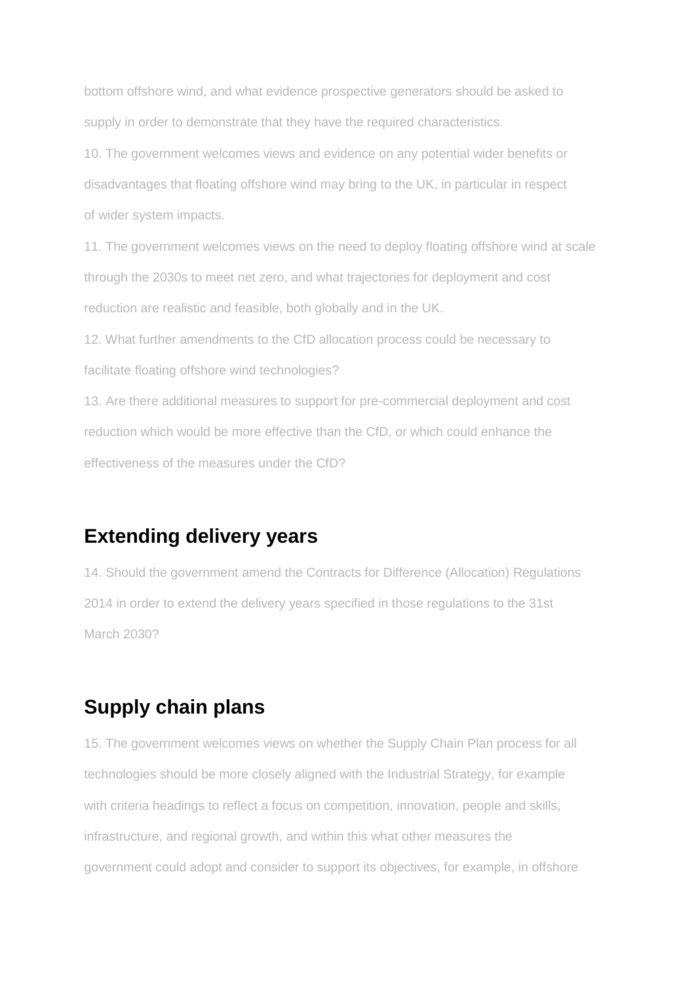bottom offshore wind, and what evidence prospective generators should be asked to supply in order to demonstrate that they have the required characteristics.

10. The government welcomes views and evidence on any potential wider benefits or disadvantages that floating offshore wind may bring to the UK, in particular in respect of wider system impacts.

11. The government welcomes views on the need to deploy floating offshore wind at scale through the 2030s to meet net zero, and what trajectories for deployment and cost reduction are realistic and feasible, both globally and in the UK.

12. What further amendments to the CfD allocation process could be necessary to facilitate floating offshore wind technologies?

13. Are there additional measures to support for pre-commercial deployment and cost reduction which would be more effective than the CfD, or which could enhance the effectiveness of the measures under the CfD?

### **Extending delivery years**

14. Should the government amend the Contracts for Difference (Allocation) Regulations 2014 in order to extend the delivery years specified in those regulations to the 31st March 2030?

## **Supply chain plans**

15. The government welcomes views on whether the Supply Chain Plan process for all technologies should be more closely aligned with the Industrial Strategy, for example with criteria headings to reflect a focus on competition, innovation, people and skills, infrastructure, and regional growth, and within this what other measures the government could adopt and consider to support its objectives, for example, in offshore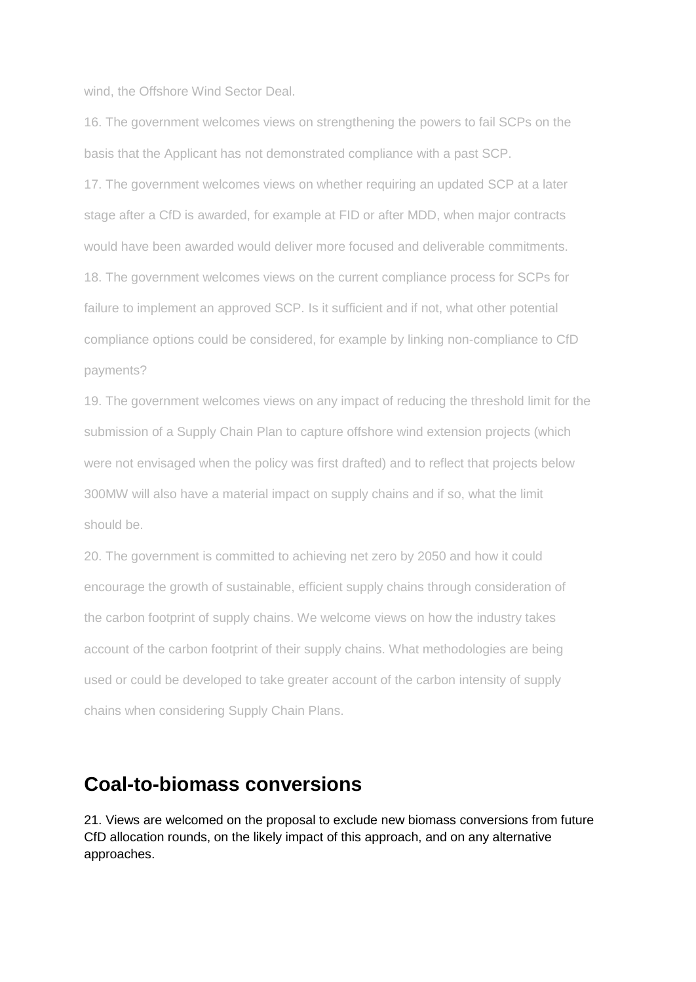wind, the Offshore Wind Sector Deal.

16. The government welcomes views on strengthening the powers to fail SCPs on the basis that the Applicant has not demonstrated compliance with a past SCP.

17. The government welcomes views on whether requiring an updated SCP at a later stage after a CfD is awarded, for example at FID or after MDD, when major contracts would have been awarded would deliver more focused and deliverable commitments. 18. The government welcomes views on the current compliance process for SCPs for failure to implement an approved SCP. Is it sufficient and if not, what other potential compliance options could be considered, for example by linking non-compliance to CfD payments?

19. The government welcomes views on any impact of reducing the threshold limit for the submission of a Supply Chain Plan to capture offshore wind extension projects (which were not envisaged when the policy was first drafted) and to reflect that projects below 300MW will also have a material impact on supply chains and if so, what the limit should be.

20. The government is committed to achieving net zero by 2050 and how it could encourage the growth of sustainable, efficient supply chains through consideration of the carbon footprint of supply chains. We welcome views on how the industry takes account of the carbon footprint of their supply chains. What methodologies are being used or could be developed to take greater account of the carbon intensity of supply chains when considering Supply Chain Plans.

### **Coal-to-biomass conversions**

21. Views are welcomed on the proposal to exclude new biomass conversions from future CfD allocation rounds, on the likely impact of this approach, and on any alternative approaches.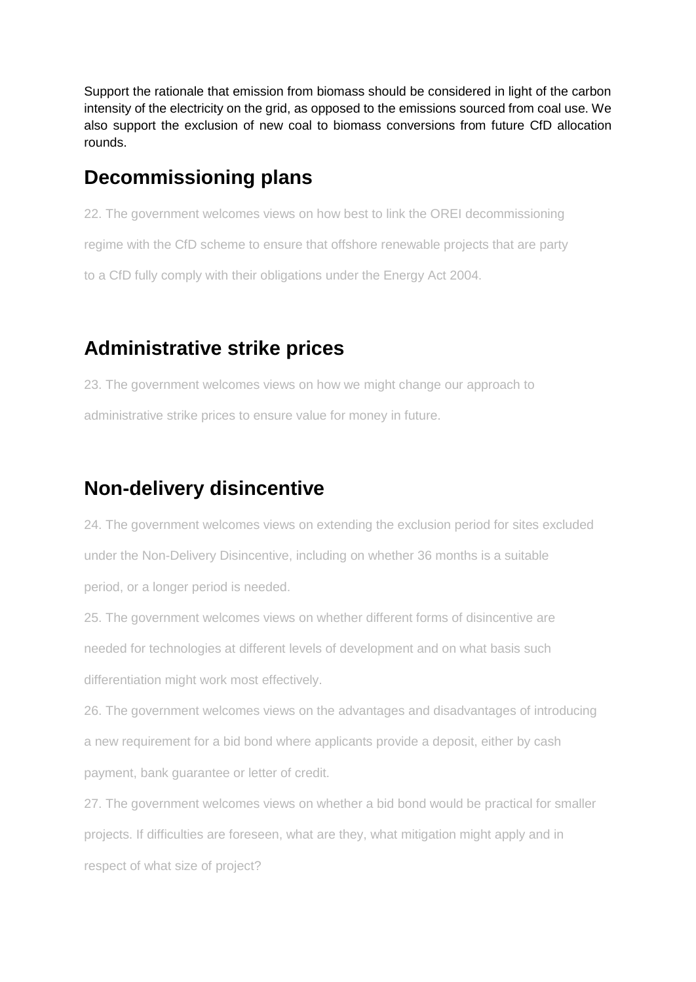Support the rationale that emission from biomass should be considered in light of the carbon intensity of the electricity on the grid, as opposed to the emissions sourced from coal use. We also support the exclusion of new coal to biomass conversions from future CfD allocation rounds.

### **Decommissioning plans**

22. The government welcomes views on how best to link the OREI decommissioning regime with the CfD scheme to ensure that offshore renewable projects that are party to a CfD fully comply with their obligations under the Energy Act 2004.

## **Administrative strike prices**

23. The government welcomes views on how we might change our approach to administrative strike prices to ensure value for money in future.

## **Non-delivery disincentive**

24. The government welcomes views on extending the exclusion period for sites excluded under the Non-Delivery Disincentive, including on whether 36 months is a suitable period, or a longer period is needed.

25. The government welcomes views on whether different forms of disincentive are needed for technologies at different levels of development and on what basis such differentiation might work most effectively.

26. The government welcomes views on the advantages and disadvantages of introducing a new requirement for a bid bond where applicants provide a deposit, either by cash payment, bank guarantee or letter of credit.

27. The government welcomes views on whether a bid bond would be practical for smaller projects. If difficulties are foreseen, what are they, what mitigation might apply and in respect of what size of project?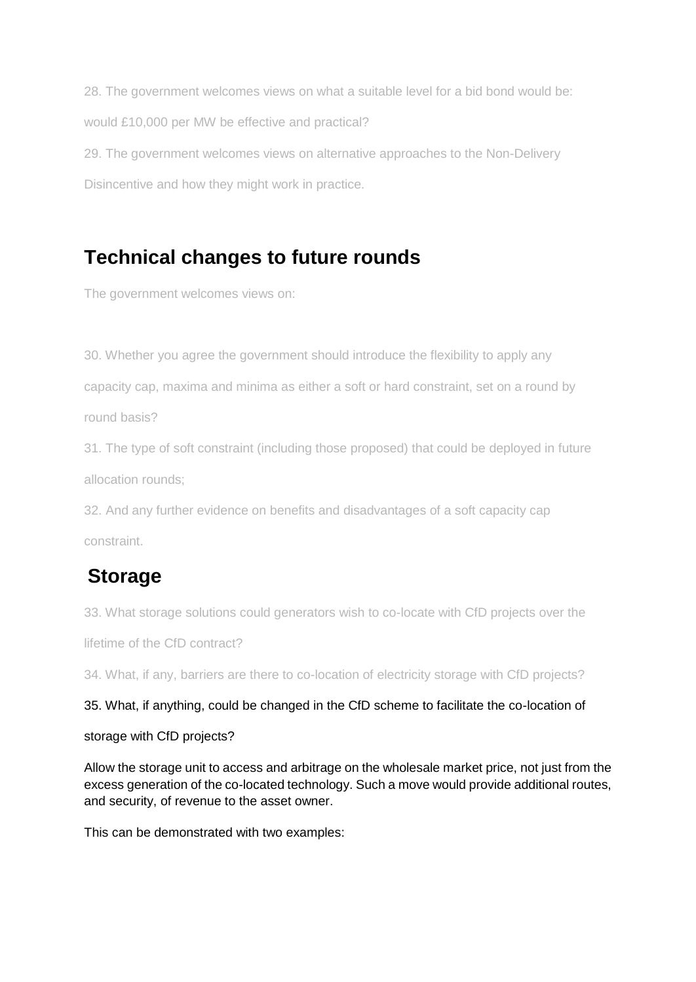28. The government welcomes views on what a suitable level for a bid bond would be: would £10,000 per MW be effective and practical? 29. The government welcomes views on alternative approaches to the Non-Delivery

Disincentive and how they might work in practice.

## **Technical changes to future rounds**

The government welcomes views on:

30. Whether you agree the government should introduce the flexibility to apply any capacity cap, maxima and minima as either a soft or hard constraint, set on a round by round basis?

31. The type of soft constraint (including those proposed) that could be deployed in future allocation rounds;

32. And any further evidence on benefits and disadvantages of a soft capacity cap constraint.

## **Storage**

33. What storage solutions could generators wish to co-locate with CfD projects over the

lifetime of the CfD contract?

34. What, if any, barriers are there to co-location of electricity storage with CfD projects?

#### 35. What, if anything, could be changed in the CfD scheme to facilitate the co-location of

#### storage with CfD projects?

Allow the storage unit to access and arbitrage on the wholesale market price, not just from the excess generation of the co-located technology. Such a move would provide additional routes, and security, of revenue to the asset owner.

This can be demonstrated with two examples: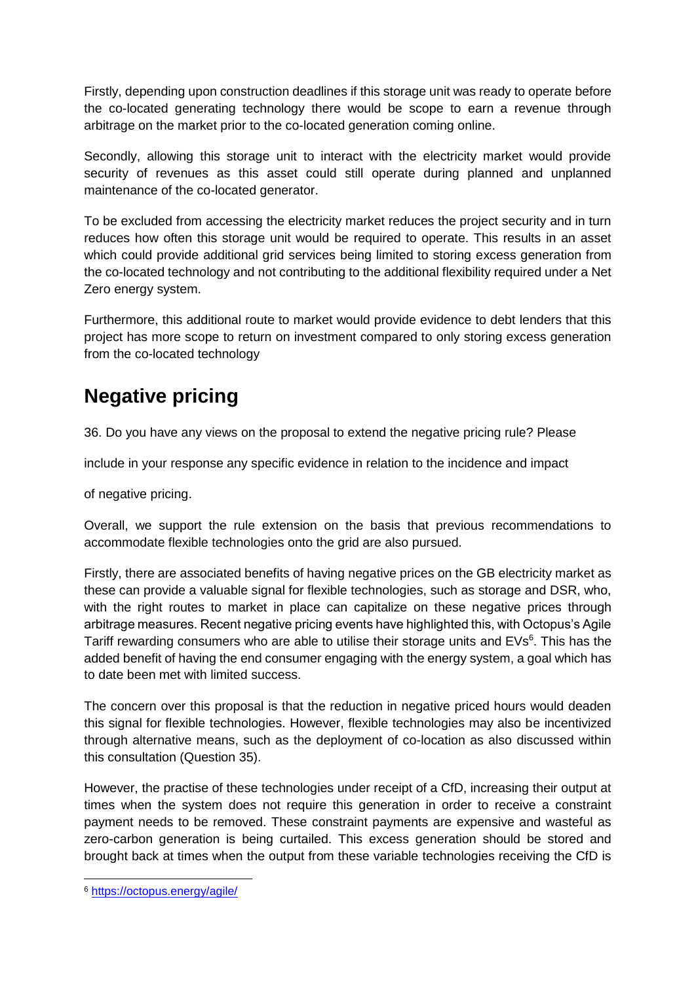Firstly, depending upon construction deadlines if this storage unit was ready to operate before the co-located generating technology there would be scope to earn a revenue through arbitrage on the market prior to the co-located generation coming online.

Secondly, allowing this storage unit to interact with the electricity market would provide security of revenues as this asset could still operate during planned and unplanned maintenance of the co-located generator.

To be excluded from accessing the electricity market reduces the project security and in turn reduces how often this storage unit would be required to operate. This results in an asset which could provide additional grid services being limited to storing excess generation from the co-located technology and not contributing to the additional flexibility required under a Net Zero energy system.

Furthermore, this additional route to market would provide evidence to debt lenders that this project has more scope to return on investment compared to only storing excess generation from the co-located technology

## **Negative pricing**

36. Do you have any views on the proposal to extend the negative pricing rule? Please

include in your response any specific evidence in relation to the incidence and impact

of negative pricing.

Overall, we support the rule extension on the basis that previous recommendations to accommodate flexible technologies onto the grid are also pursued.

Firstly, there are associated benefits of having negative prices on the GB electricity market as these can provide a valuable signal for flexible technologies, such as storage and DSR, who, with the right routes to market in place can capitalize on these negative prices through arbitrage measures. Recent negative pricing events have highlighted this, with Octopus's Agile Tariff rewarding consumers who are able to utilise their storage units and EVs<sup>6</sup>. This has the added benefit of having the end consumer engaging with the energy system, a goal which has to date been met with limited success.

The concern over this proposal is that the reduction in negative priced hours would deaden this signal for flexible technologies. However, flexible technologies may also be incentivized through alternative means, such as the deployment of co-location as also discussed within this consultation (Question 35).

However, the practise of these technologies under receipt of a CfD, increasing their output at times when the system does not require this generation in order to receive a constraint payment needs to be removed. These constraint payments are expensive and wasteful as zero-carbon generation is being curtailed. This excess generation should be stored and brought back at times when the output from these variable technologies receiving the CfD is

-

<sup>6</sup> <https://octopus.energy/agile/>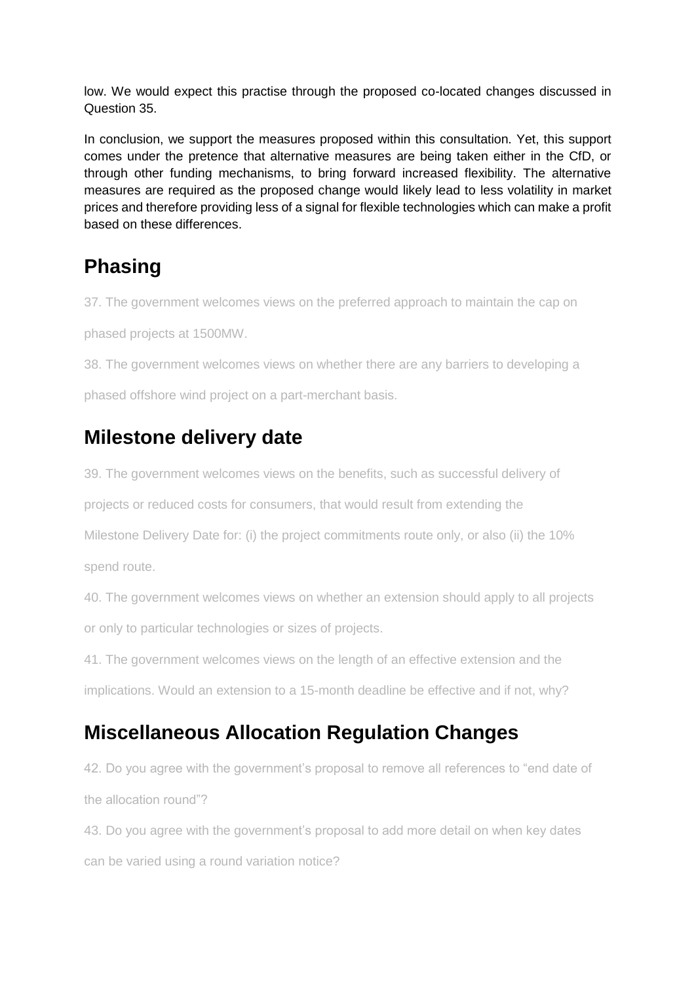low. We would expect this practise through the proposed co-located changes discussed in Question 35.

In conclusion, we support the measures proposed within this consultation. Yet, this support comes under the pretence that alternative measures are being taken either in the CfD, or through other funding mechanisms, to bring forward increased flexibility. The alternative measures are required as the proposed change would likely lead to less volatility in market prices and therefore providing less of a signal for flexible technologies which can make a profit based on these differences.

## **Phasing**

37. The government welcomes views on the preferred approach to maintain the cap on

phased projects at 1500MW.

38. The government welcomes views on whether there are any barriers to developing a

phased offshore wind project on a part-merchant basis.

### **Milestone delivery date**

39. The government welcomes views on the benefits, such as successful delivery of

projects or reduced costs for consumers, that would result from extending the

Milestone Delivery Date for: (i) the project commitments route only, or also (ii) the 10% spend route.

40. The government welcomes views on whether an extension should apply to all projects or only to particular technologies or sizes of projects.

41. The government welcomes views on the length of an effective extension and the implications. Would an extension to a 15-month deadline be effective and if not, why?

## **Miscellaneous Allocation Regulation Changes**

42. Do you agree with the government's proposal to remove all references to "end date of the allocation round"?

43. Do you agree with the government's proposal to add more detail on when key dates can be varied using a round variation notice?